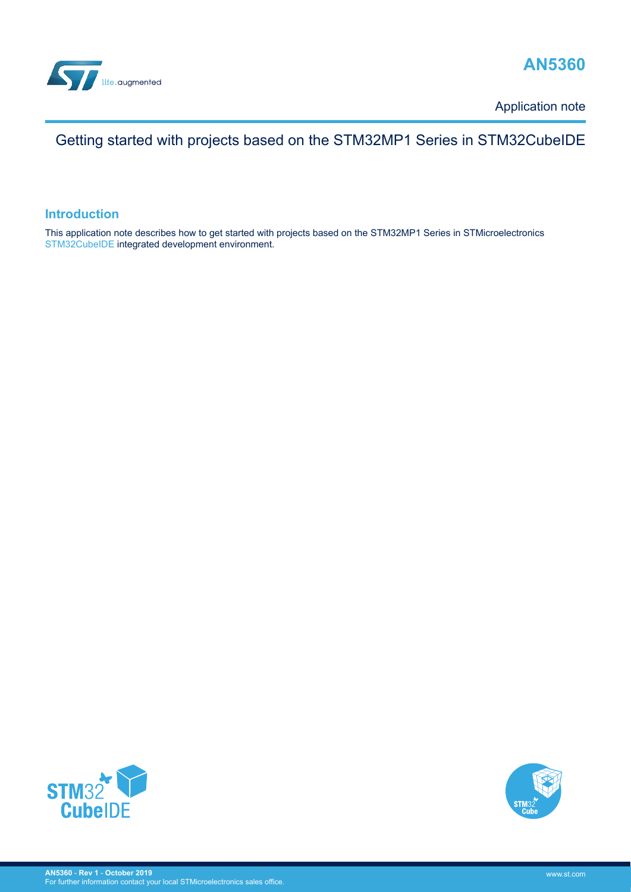



Application note

## Getting started with projects based on the STM32MP1 Series in STM32CubeIDE

#### **Introduction**

This application note describes how to get started with projects based on the STM32MP1 Series in STMicroelectronics [STM32CubeIDE](https://www.st.com/en/product/stm32cubeide?ecmp=tt9470_gl_link_feb2019&rt=an&id=AN5360) integrated development environment.



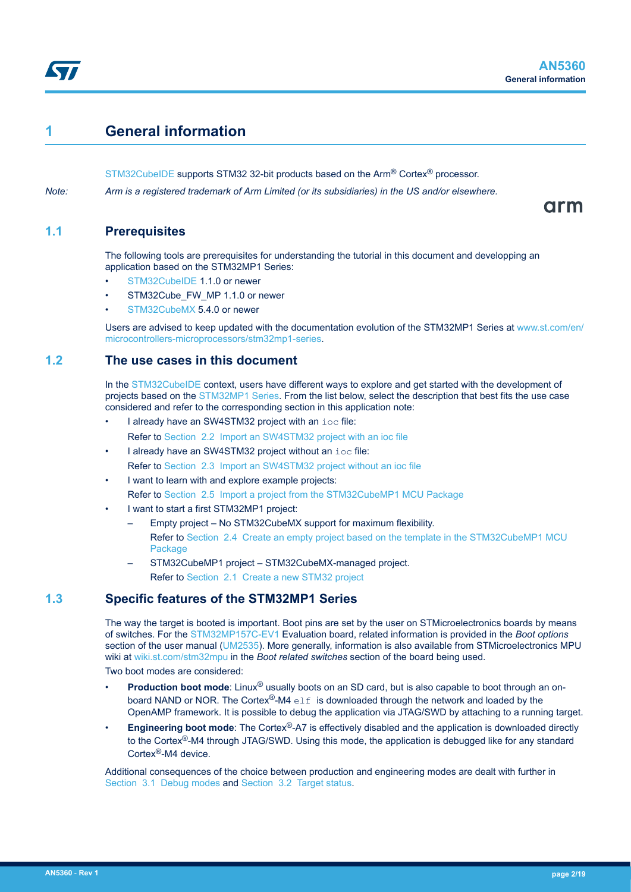## <span id="page-1-0"></span>**1 General information**

[STM32CubeIDE](https://www.st.com/en/product/stm32cubeide?ecmp=tt9470_gl_link_feb2019&rt=an&id=AN5360) supports STM32 32-bit products based on the Arm® Cortex® processor.

*Note: Arm is a registered trademark of Arm Limited (or its subsidiaries) in the US and/or elsewhere.*

arm

### **1.1 Prerequisites**

The following tools are prerequisites for understanding the tutorial in this document and developping an application based on the STM32MP1 Series:

- [STM32CubeIDE](https://www.st.com/en/product/stm32cubeide?ecmp=tt9470_gl_link_feb2019&rt=an&id=AN5360) 1.1.0 or newer
- STM32Cube\_FW\_MP 1.1.0 or newer
- [STM32CubeMX](https://www.st.com/en/product/stm32cubemx?ecmp=tt9470_gl_link_feb2019&rt=an&id=AN5360) 5.4.0 or newer

Users are advised to keep updated with the documentation evolution of the STM32MP1 Series at [www.st.com/en/](https://www.st.com/en/microcontrollers-microprocessors/stm32mp1-series) [microcontrollers-microprocessors/stm32mp1-series](https://www.st.com/en/microcontrollers-microprocessors/stm32mp1-series).

### **1.2 The use cases in this document**

In the [STM32CubeIDE](https://www.st.com/en/product/stm32cubeide?ecmp=tt9470_gl_link_feb2019&rt=an&id=AN5360) context, users have different ways to explore and get started with the development of projects based on the [STM32MP1 Series](https://www.st.com/en/microcontrollers-microprocessors/stm32mp1-series.html). From the list below, select the description that best fits the use case considered and refer to the corresponding section in this application note:

I already have an SW4STM32 project with an ioc file:

Refer to [Section 2.2 Import an SW4STM32 project with an ioc file](#page-6-0)

- I already have an SW4STM32 project without an ioc file: Refer to [Section 2.3 Import an SW4STM32 project without an ioc file](#page-7-0)
- I want to learn with and explore example projects: Refer to [Section 2.5 Import a project from the STM32CubeMP1 MCU Package](#page-9-0)
- I want to start a first STM32MP1 project:
	- Empty project No STM32CubeMX support for maximum flexibility. Refer to [Section 2.4 Create an empty project based on the template in the STM32CubeMP1 MCU](#page-9-0) **[Package](#page-9-0)**
	- STM32CubeMP1 project STM32CubeMX-managed project. Refer to [Section 2.1 Create a new STM32 project](#page-4-0)

## **1.3 Specific features of the STM32MP1 Series**

The way the target is booted is important. Boot pins are set by the user on STMicroelectronics boards by means of switches. For the [STM32MP157C-EV1](https://www.st.com/en/product/stm32mp157c-ev1?ecmp=tt9470_gl_link_feb2019&rt=an&id=AN5360) Evaluation board, related information is provided in the *Boot options* section of the user manual [\(UM2535](https://www.st.com/resource/en/user_manual/dm00591370.pdf)). More generally, information is also available from STMicroelectronics MPU wiki at [wiki.st.com/stm32mpu](https://wiki.st.com/stm32mpu) in the *Boot related switches* section of the board being used.

Two boot modes are considered:

- **Production boot mode**: Linux<sup>®</sup> usually boots on an SD card, but is also capable to boot through an onboard NAND or NOR. The Cortex®-M4  $e \perp f$  is downloaded through the network and loaded by the OpenAMP framework. It is possible to debug the application via JTAG/SWD by attaching to a running target.
- **Engineering boot mode**: The Cortex<sup>®</sup>-A7 is effectively disabled and the application is downloaded directly to the Cortex<sup>®</sup>-M4 through JTAG/SWD. Using this mode, the application is debugged like for any standard Cortex®-M4 device.

Additional consequences of the choice between production and engineering modes are dealt with further in [Section 3.1 Debug modes](#page-12-0) and [Section 3.2 Target status.](#page-12-0)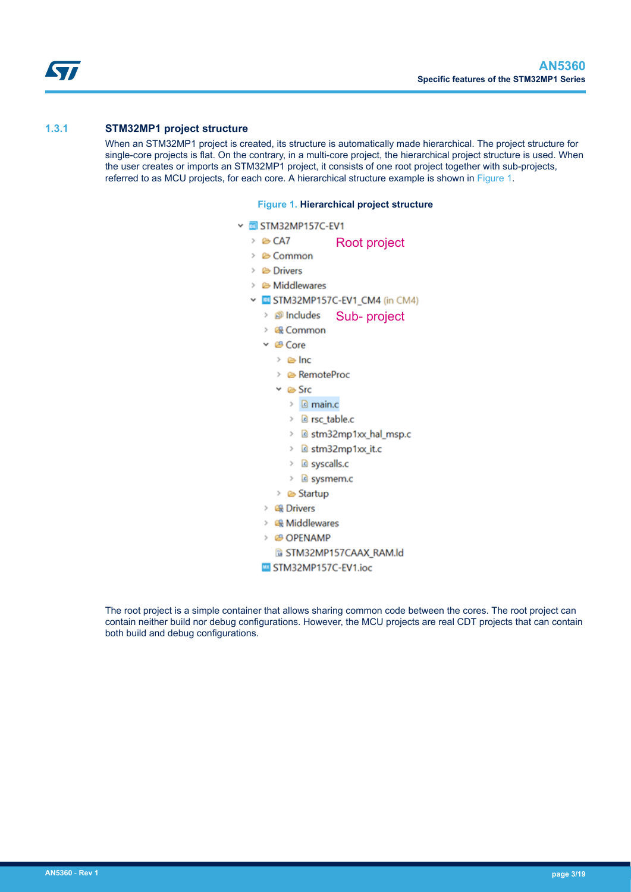<span id="page-2-0"></span>ST

#### **1.3.1 STM32MP1 project structure**

When an STM32MP1 project is created, its structure is automatically made hierarchical. The project structure for single-core projects is flat. On the contrary, in a multi-core project, the hierarchical project structure is used. When the user creates or imports an STM32MP1 project, it consists of one root project together with sub-projects, referred to as MCU projects, for each core. A hierarchical structure example is shown in Figure 1.

#### **Figure 1. Hierarchical project structure**

v **EI** STM32MP157C-EV1  $\rightarrow$   $\approx$  CA7 Root project  $\geq$   $\bullet$  Common  $\angle$   $\triangle$  Drivers  $\geq$   $\bullet$  Middlewares v BI STM32MP157C-EV1\_CM4 (in CM4) > *S* Includes Sub- project > 最 Common  $\vee$   $\mathcal{B}$  Core  $\geq$   $\approx$  Inc > & RemoteProc  $\vee$   $\cong$  Src  $\angle$  **e** main.c > @ rsc table.c > @ stm32mp1xx\_hal\_msp.c > @ stm32mp1xx it.c  $\angle$  **e** syscalls.c > *e* sysmem.c > & Startup > 曝 Drivers > 2 Middlewares > @ OPENAMP G STM32MP157CAAX\_RAM.ld STM32MP157C-EV1.ioc

The root project is a simple container that allows sharing common code between the cores. The root project can contain neither build nor debug configurations. However, the MCU projects are real CDT projects that can contain both build and debug configurations.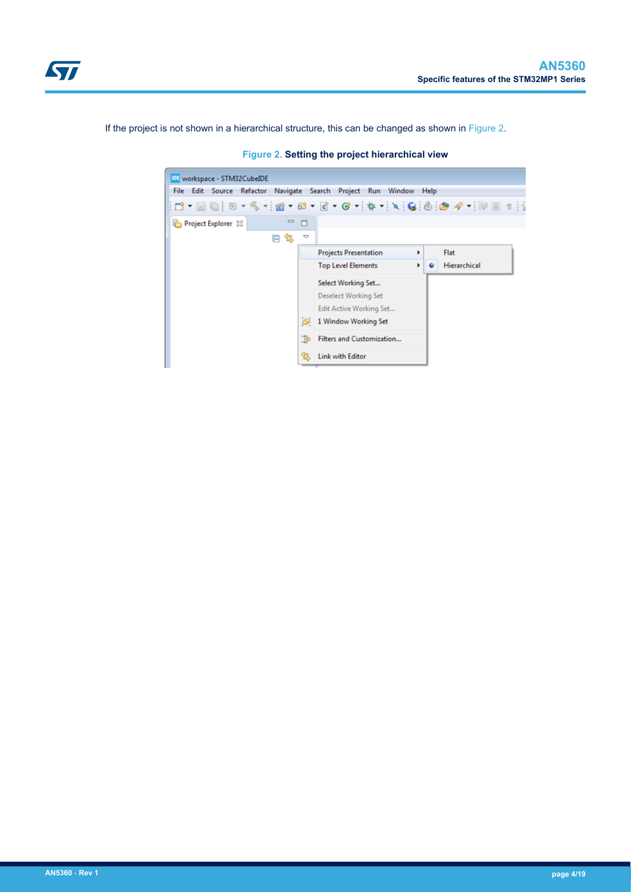<span id="page-3-0"></span>

If the project is not shown in a hierarchical structure, this can be changed as shown in Figure 2.

| $\Box$              |                              |                                                                        |      |                      |
|---------------------|------------------------------|------------------------------------------------------------------------|------|----------------------|
| $\overline{\nabla}$ |                              |                                                                        |      |                      |
|                     | <b>Projects Presentation</b> |                                                                        |      |                      |
|                     | <b>Top Level Elements</b>    | ٠                                                                      |      |                      |
|                     | Select Working Set           |                                                                        |      |                      |
|                     | <b>Deselect Working Set</b>  |                                                                        |      |                      |
|                     | Edit Active Working Set      |                                                                        |      |                      |
| හ                   | 1 Window Working Set         |                                                                        |      |                      |
| ∌                   | Filters and Customization    |                                                                        |      |                      |
| q,                  | <b>Link with Editor</b>      |                                                                        |      |                      |
|                     | $\qquad \qquad \Box$<br>怎    | File Edit Source Refactor Navigate Search Project Run Window<br>٠<br>٠ | Help | Flat<br>Hierarchical |

**Figure 2. Setting the project hierarchical view**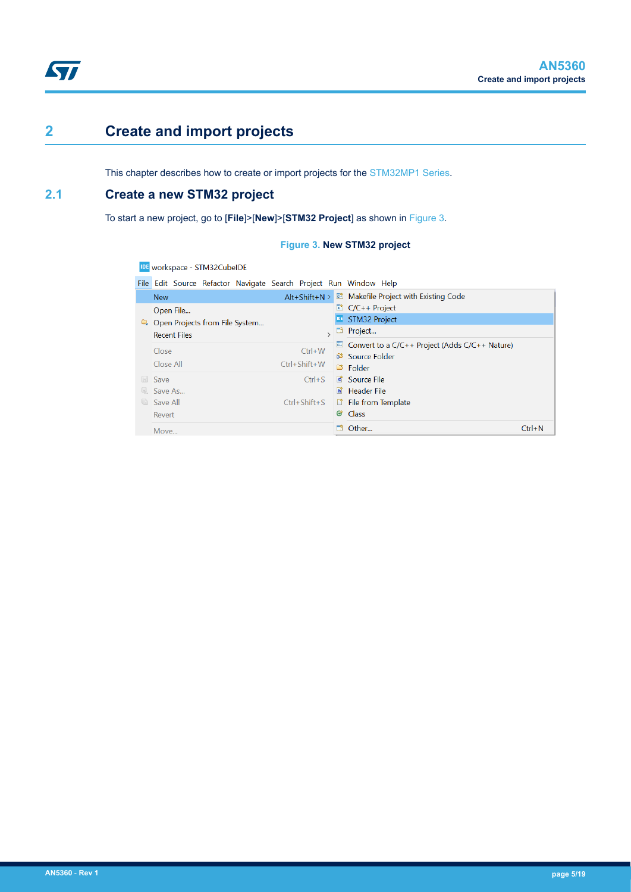## <span id="page-4-0"></span>**2 Create and import projects**

This chapter describes how to create or import projects for the [STM32MP1 Series](https://www.st.com/en/microcontrollers-microprocessors/stm32mp1-series.html).

## **2.1 Create a new STM32 project**

To start a new project, go to [**File**]>[**New**]>[**STM32 Project**] as shown in Figure 3.

#### **Figure 3. New STM32 project**

IDE workspace - STM32CubeIDE File Edit Source Refactor Navigate Search Project Run Window Help Alt+Shift+N > a Makefile Project with Existing Code New  $C/C++$  Project Open File... **DE** STM32 Project Open Projects from File System...  $\frac{1}{2}$  Project... **Recent Files**  $\boxed{\phantom{a}}$  Convert to a C/C++ Project (Adds C/C++ Nature) Close  $Ctrl+W$ Source Folder  $Ctrl + Shift + W$ Close All Ctrl+S **c** Source File **Save** Save As... **E** Header File Ctrl+Shift+S | L<sup>\*</sup> File from Template Save All G Class Revert **D**<sup>3</sup> Other...  $Ctrl + N$ Move..

#### **AN5360** - **Rev 1 page 5/19**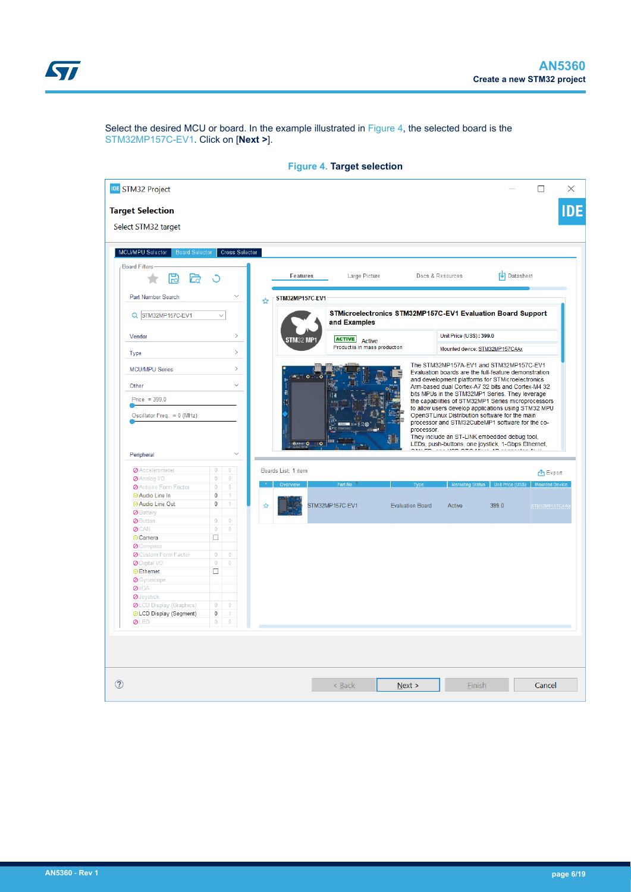

<span id="page-5-0"></span>

|                                     | Select the desired MCU or board. In the example illustrated in Figure 4, the selected board is the |
|-------------------------------------|----------------------------------------------------------------------------------------------------|
| STM32MP157C-EV1. Click on [Next >]. |                                                                                                    |

| <b>IDE</b> STM32 Project                  |                             |                         |   |                     |                                                             |                         |                                                 |                                                                                                            | $\Box$                |
|-------------------------------------------|-----------------------------|-------------------------|---|---------------------|-------------------------------------------------------------|-------------------------|-------------------------------------------------|------------------------------------------------------------------------------------------------------------|-----------------------|
| <b>Target Selection</b>                   |                             |                         |   |                     |                                                             |                         |                                                 |                                                                                                            |                       |
| Select STM32 target                       |                             |                         |   |                     |                                                             |                         |                                                 |                                                                                                            |                       |
|                                           |                             |                         |   |                     |                                                             |                         |                                                 |                                                                                                            |                       |
| MCU/MPU Selector<br><b>Board Selector</b> |                             | Cross Selector          |   |                     |                                                             |                         |                                                 |                                                                                                            |                       |
| <b>Board Filters</b>                      |                             |                         |   |                     |                                                             |                         |                                                 |                                                                                                            |                       |
| ا⊭ا                                       | O                           |                         |   | Features            | Large Picture                                               |                         | Docs & Resources                                | <b>V</b> Datasheet                                                                                         |                       |
| Part Number Search                        |                             | $\checkmark$            | ☆ | STM32MP157C-EV1     |                                                             |                         |                                                 |                                                                                                            |                       |
| Q STM32MP157C-EV1                         | $\checkmark$                |                         |   |                     | STMicroelectronics STM32MP157C-EV1 Evaluation Board Support |                         |                                                 |                                                                                                            |                       |
|                                           |                             |                         |   |                     | and Examples                                                |                         |                                                 |                                                                                                            |                       |
| Vendor                                    |                             | $\rightarrow$           |   | TM32 MF             | <b>ACTIVE</b> Active                                        |                         | Unit Price (US\$): 399.0                        |                                                                                                            |                       |
| Type                                      |                             | $\rightarrow$           |   |                     | Product is in mass production                               |                         |                                                 | Mounted device: STM32MP157CAAx                                                                             |                       |
| <b>MCU/MPU Series</b>                     |                             | $\rightarrow$           |   |                     |                                                             |                         |                                                 | The STM32MP157A-EV1 and STM32MP157C-EV1<br>Evaluation boards are the full-feature demonstration            |                       |
| Other                                     |                             | $\checkmark$            |   |                     | $\overline{a}$                                              |                         |                                                 | and development platforms for STMicroelectronics                                                           |                       |
| Price = $399.0$                           |                             |                         |   |                     |                                                             |                         |                                                 | Arm-based dual Cortex-A7 32 bits and Cortex-M4 32<br>bits MPUs in the STM32MP1 Series. They leverage       |                       |
|                                           |                             |                         |   |                     |                                                             |                         |                                                 | the capabilities of STM32MP1 Series microprocessors<br>to allow users develop applications using STM32 MPU |                       |
|                                           |                             |                         |   |                     |                                                             |                         |                                                 | OpenSTLinux Distribution software for the main                                                             |                       |
| Oscillator Freq. = $0$ (MHz)              |                             |                         |   |                     |                                                             |                         | processor and STM32CubeMP1 software for the co- |                                                                                                            |                       |
|                                           |                             |                         |   |                     |                                                             |                         |                                                 |                                                                                                            |                       |
|                                           |                             |                         |   |                     |                                                             | processor.              |                                                 | They include an ST-LINK embedded debug tool,                                                               |                       |
|                                           |                             |                         |   | <b>BALL</b> O       | $\mathbf{1}$                                                |                         |                                                 | LEDs, push-buttons, one joystick, 1-Gbps Ethernet,                                                         |                       |
| Peripheral                                |                             | $\checkmark$            |   |                     |                                                             |                         | $- - - 1100$ $\Delta T \Delta M$                |                                                                                                            |                       |
|                                           |                             |                         |   |                     |                                                             |                         |                                                 |                                                                                                            |                       |
| <b>Ø</b> Accelerometer                    | $\bf{0}$                    | $\bf{0}$                |   | Boards List: 1 item |                                                             |                         |                                                 |                                                                                                            | 凸 Export              |
| Analog I/O                                | $\pmb{0}$<br>$\overline{0}$ | $\pmb{0}$               |   |                     | Part No                                                     | Type                    |                                                 |                                                                                                            | <b>Mounted Device</b> |
| Arduino Form Factor                       |                             | $\overline{\mathbf{0}}$ |   |                     |                                                             |                         |                                                 |                                                                                                            |                       |
| ◎ Audio Line In                           | $\bf{0}$                    | $\ddagger$              |   |                     |                                                             |                         |                                                 |                                                                                                            |                       |
| ◎ Audio Line Out                          | $\pmb{0}$                   | 1                       | ☆ |                     | STM32MP157C-EV1                                             | <b>Evaluation Board</b> | Active                                          | 399.0                                                                                                      | STM32MP157CAA         |
| <b>Ø</b> Battery                          |                             |                         |   |                     |                                                             |                         |                                                 |                                                                                                            |                       |
| <b>Ø</b> Button                           | $\bf{0}$                    | $\bf{0}$                |   |                     |                                                             |                         |                                                 |                                                                                                            |                       |
| <b>Ø</b> CAN                              | $\pmb{0}$                   | $\pmb{0}$               |   |                     |                                                             |                         |                                                 |                                                                                                            |                       |
| <b>⊘</b> Camera                           | $\Box$                      |                         |   |                     |                                                             |                         |                                                 |                                                                                                            |                       |
| <b>O</b> Compass                          |                             |                         |   |                     |                                                             |                         |                                                 |                                                                                                            |                       |
| <b>O</b> Custom Form Factor               | $\mathbf{0}$                | $\bf{0}$                |   |                     |                                                             |                         |                                                 |                                                                                                            |                       |
| O Digital I/O                             | $\bf{0}$                    | $\bf{0}$                |   |                     |                                                             |                         |                                                 |                                                                                                            |                       |
| <b>⊘Ethernet</b>                          | $\Box$                      |                         |   |                     |                                                             |                         |                                                 |                                                                                                            |                       |
| Gyroscope                                 |                             |                         |   |                     |                                                             |                         |                                                 |                                                                                                            |                       |
| <b>Ø</b> IrDA                             |                             |                         |   |                     |                                                             |                         |                                                 |                                                                                                            |                       |
|                                           |                             |                         |   |                     |                                                             |                         |                                                 |                                                                                                            |                       |
| OJoystick                                 | $\bf{0}$                    | $\bf{0}$                |   |                     |                                                             |                         |                                                 |                                                                                                            |                       |
| OLCD Display (Graphics)                   |                             |                         |   |                     |                                                             |                         |                                                 |                                                                                                            |                       |
| ◎ LCD Display (Segment)                   | $\pmb{0}$                   |                         |   |                     |                                                             |                         |                                                 |                                                                                                            |                       |
| <b>ØLED</b>                               | $\mathbf 0$                 | $\bf{0}$                |   |                     |                                                             |                         |                                                 |                                                                                                            |                       |
|                                           |                             |                         |   |                     |                                                             |                         |                                                 |                                                                                                            |                       |
|                                           |                             |                         |   |                     |                                                             |                         |                                                 |                                                                                                            |                       |
|                                           |                             |                         |   |                     |                                                             |                         |                                                 |                                                                                                            |                       |
|                                           |                             |                         |   |                     |                                                             |                         |                                                 |                                                                                                            |                       |
|                                           |                             |                         |   |                     |                                                             |                         |                                                 |                                                                                                            |                       |
|                                           |                             |                         |   |                     |                                                             |                         |                                                 |                                                                                                            |                       |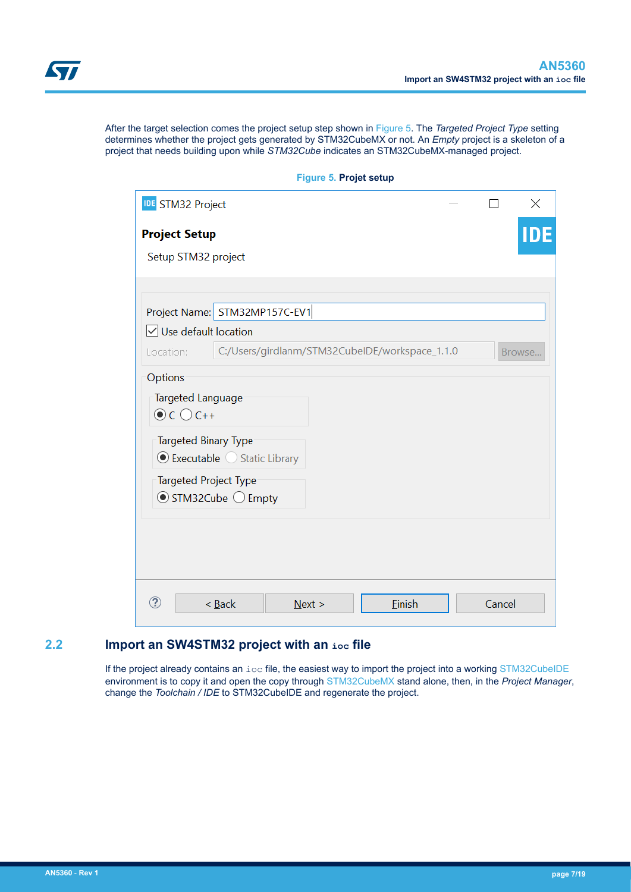<span id="page-6-0"></span>After the target selection comes the project setup step shown in Figure 5. The *Targeted Project Type* setting determines whether the project gets generated by STM32CubeMX or not. An *Empty* project is a skeleton of a project that needs building upon while *STM32Cube* indicates an STM32CubeMX-managed project.

|                                                                           |                                                | <b>Figure 5. Projet setup</b> |        |        |          |
|---------------------------------------------------------------------------|------------------------------------------------|-------------------------------|--------|--------|----------|
| <b>IDE</b> STM32 Project                                                  |                                                |                               |        |        | $\times$ |
| <b>Project Setup</b>                                                      |                                                |                               |        |        |          |
| Setup STM32 project                                                       |                                                |                               |        |        |          |
|                                                                           | Project Name: STM32MP157C-EV1                  |                               |        |        |          |
| $\sqrt{\ }$ Use default location                                          |                                                |                               |        |        |          |
| Location:                                                                 | C:/Users/girdlanm/STM32CubeIDE/workspace_1.1.0 |                               |        |        | Browse   |
| Targeted Language<br>$\odot$ C $\odot$ C++<br><b>Targeted Binary Type</b> | ● Executable ● Static Library                  |                               |        |        |          |
| Targeted Project Type                                                     | $\odot$ STM32Cube $\bigcirc$ Empty             |                               |        |        |          |
|                                                                           |                                                |                               |        |        |          |
|                                                                           |                                                |                               |        |        |          |
| ?                                                                         | $<$ Back                                       | Next >                        | Einish | Cancel |          |

## **Figure 5. Projet setup**

## **2.2 Import an SW4STM32 project with an ioc file**

If the project already contains an ioc file, the easiest way to import the project into a working [STM32CubeIDE](https://www.st.com/en/product/stm32cubeide?ecmp=tt9470_gl_link_feb2019&rt=an&id=AN5360) environment is to copy it and open the copy through [STM32CubeMX](https://www.st.com/en/product/stm32cubemx?ecmp=tt9470_gl_link_feb2019&rt=an&id=AN5360) stand alone, then, in the *Project Manager*, change the *Toolchain / IDE* to STM32CubeIDE and regenerate the project.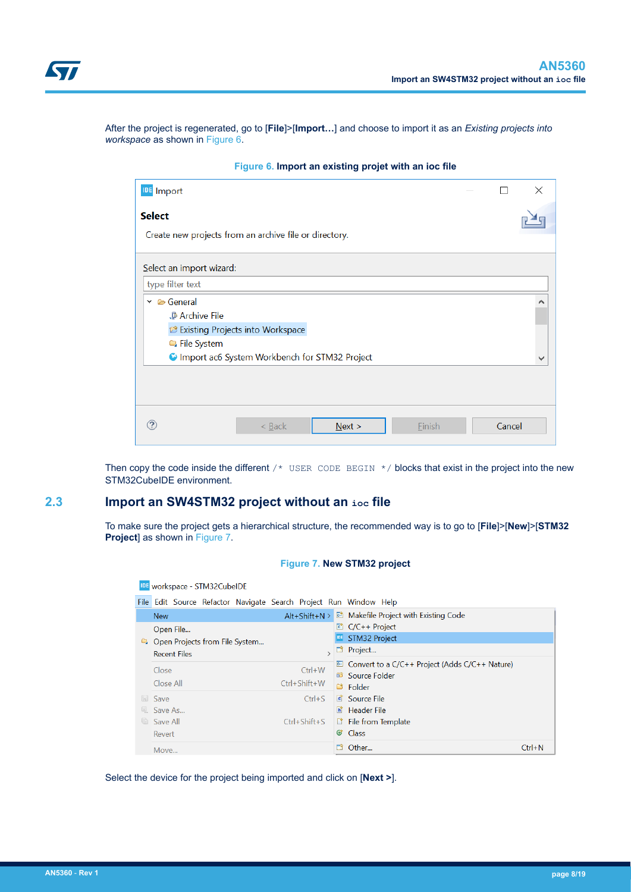<span id="page-7-0"></span>

After the project is regenerated, go to [**File**]>[**Import…**] and choose to import it as an *Existing projects into workspace* as shown in Figure 6.

| <b>IDE</b> Import                                      |        | × |
|--------------------------------------------------------|--------|---|
| <b>Select</b>                                          |        |   |
| Create new projects from an archive file or directory. |        |   |
| Select an import wizard:                               |        |   |
| type filter text                                       |        |   |
| $\vee$ $\triangleright$ General                        |        |   |
| <b>Archive File</b>                                    |        |   |
| <b>B</b> Existing Projects into Workspace              |        |   |
| File System                                            |        |   |
| C Import ac6 System Workbench for STM32 Project        |        |   |
|                                                        |        |   |
|                                                        |        |   |
|                                                        |        |   |
| Finish<br>$\leq$ Back<br>Next >                        | Cancel |   |

**Figure 6. Import an existing projet with an ioc file**

Then copy the code inside the different  $/*$  USER CODE BEGIN  $*/$  blocks that exist in the project into the new STM32CubeIDE environment.

### **2.3 Import an SW4STM32 project without an ioc file**

To make sure the project gets a hierarchical structure, the recommended way is to go to [**File**]>[**New**]>[**STM32 Project**] as shown in Figure 7.

#### **Figure 7. New STM32 project**

|     | IDE workspace - STM32CubeIDE                                      |                     |            |                                                      |            |
|-----|-------------------------------------------------------------------|---------------------|------------|------------------------------------------------------|------------|
|     | File Edit Source Refactor Navigate Search Project Run Window Help |                     |            |                                                      |            |
|     | <b>New</b>                                                        | $Alt + Shift + N >$ |            | Makefile Project with Existing Code                  |            |
|     | Open File                                                         |                     |            | ■ C/C++ Project                                      |            |
|     | D. Open Projects from File System                                 |                     | <b>IDE</b> | <b>STM32 Project</b>                                 |            |
|     | <b>Recent Files</b>                                               |                     | P          | Project                                              |            |
|     | Close                                                             | $Ctrl+W$            |            | □ Convert to a $C/C++$ Project (Adds $C/C++$ Nature) |            |
|     |                                                                   |                     |            | <sup>63</sup> Source Folder                          |            |
|     | Close All                                                         | $Ctrl + Shift + W$  |            | ■ Folder                                             |            |
|     | <b>Save</b>                                                       | $Ctrl + S$          |            | <b>C</b> Source File                                 |            |
| 5   | Save As                                                           |                     | Бĩ.        | <b>Header File</b>                                   |            |
| lei | Save All                                                          | $Ctrl + Shift + S$  |            | <b>File from Template</b>                            |            |
|     | Revert                                                            |                     | ේ          | <b>Class</b>                                         |            |
|     | Move                                                              |                     | n          | Other                                                | $Ctrl + N$ |

Select the device for the project being imported and click on [**Next >**].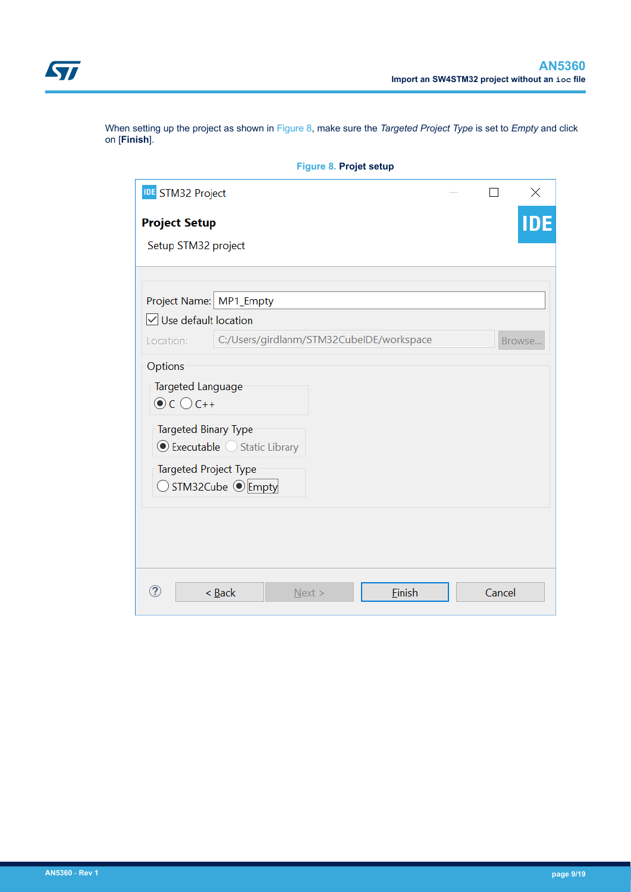<span id="page-8-0"></span>

When setting up the project as shown in Figure 8, make sure the *Targeted Project Type* is set to *Empty* and click on [**Finish**].

|                                                                               | Figure 8. Projet setup                               |        |        |          |
|-------------------------------------------------------------------------------|------------------------------------------------------|--------|--------|----------|
| <b>IDE</b> STM32 Project                                                      |                                                      |        |        | $\times$ |
| <b>Project Setup</b>                                                          |                                                      |        |        | ID       |
| Setup STM32 project                                                           |                                                      |        |        |          |
|                                                                               |                                                      |        |        |          |
| Project Name: MP1_Empty                                                       |                                                      |        |        |          |
| $\sqrt{\ }$ Use default location                                              |                                                      |        |        |          |
| Location:                                                                     | C:/Users/girdlanm/STM32CubeIDE/workspace             |        | Browse |          |
| Options<br>Targeted Language                                                  |                                                      |        |        |          |
| $\odot$ C $\odot$ C++<br><b>Targeted Binary Type</b><br>Targeted Project Type | ● Executable ● Static Library<br>◯ STM32Cube © Empty |        |        |          |
| ?                                                                             | $<$ Back<br>Next >                                   | Einish | Cancel |          |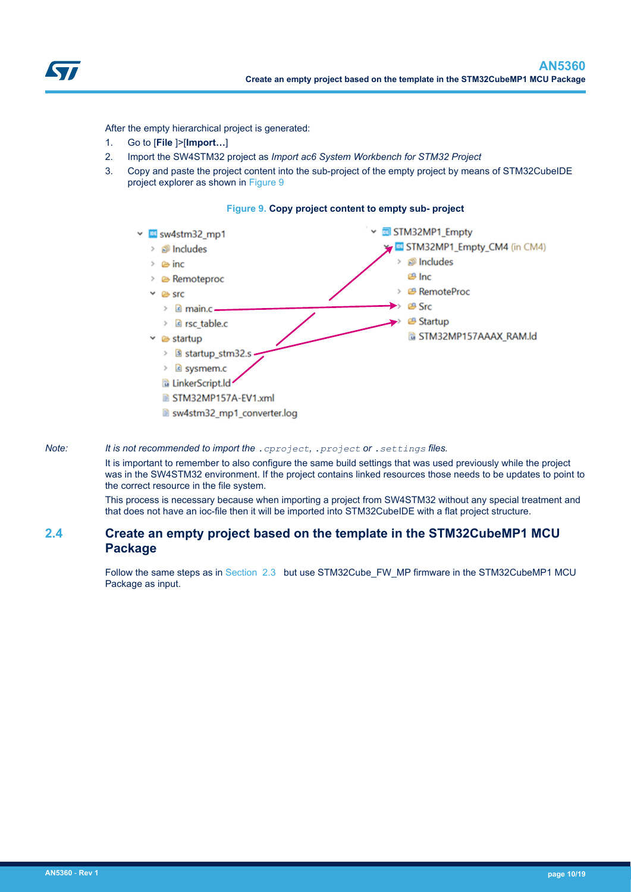<span id="page-9-0"></span>

After the empty hierarchical project is generated:

- 1. Go to [**File** ]>[**Import…**]
- 2. Import the SW4STM32 project as *Import ac6 System Workbench for STM32 Project*
- 3. Copy and paste the project content into the sub-project of the empty project by means of STM32CubeIDE project explorer as shown in Figure 9

#### **Figure 9. Copy project content to empty sub- project**



sw4stm32 mp1 converter.log

#### *Note: It is not recommended to import the .cproject, .project or .settings files.*

It is important to remember to also configure the same build settings that was used previously while the project was in the SW4STM32 environment. If the project contains linked resources those needs to be updates to point to the correct resource in the file system.

This process is necessary because when importing a project from SW4STM32 without any special treatment and that does not have an ioc-file then it will be imported into STM32CubeIDE with a flat project structure.

### **2.4 Create an empty project based on the template in the STM32CubeMP1 MCU Package**

Follow the same steps as in [Section 2.3](#page-7-0) but use STM32Cube\_FW\_MP firmware in the STM32CubeMP1 MCU Package as input.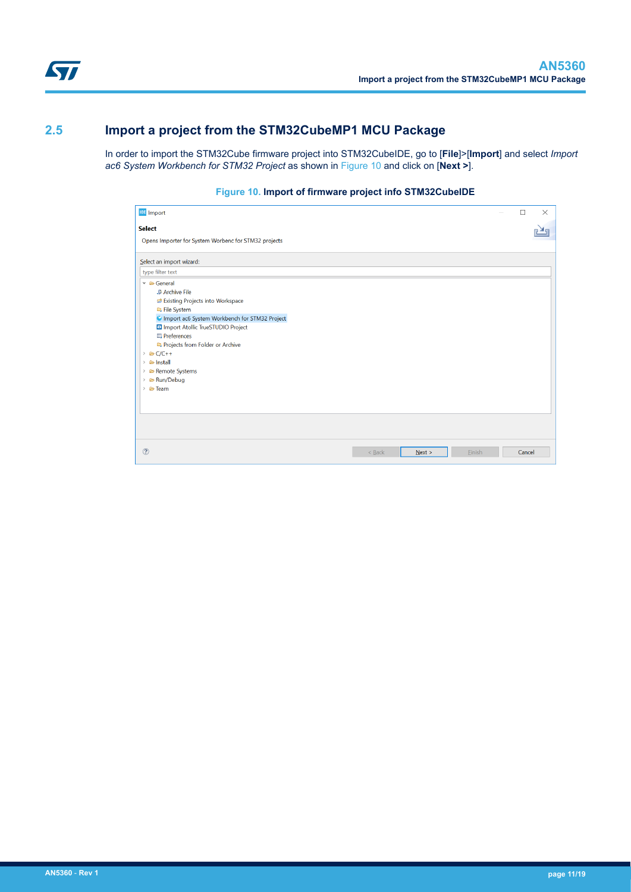<span id="page-10-0"></span>

## **2.5 Import a project from the STM32CubeMP1 MCU Package**

In order to import the STM32Cube firmware project into STM32CubeIDE, go to [**File**]>[**Import**] and select *Import ac6 System Workbench for STM32 Project* as shown in Figure 10 and click on [**Next >**].

#### **Figure 10. Import of firmware project info STM32CubeIDE**

| <b>IDE</b> Import                                      |          |        |               | $\Box$ | $\times$ |
|--------------------------------------------------------|----------|--------|---------------|--------|----------|
| <b>Select</b>                                          |          |        |               |        |          |
| Opens Importer for System Worbenc for STM32 projects   |          |        |               |        |          |
| Select an import wizard:                               |          |        |               |        |          |
| type filter text                                       |          |        |               |        |          |
| $\vee$ & General                                       |          |        |               |        |          |
| <b>.</b> Archive File                                  |          |        |               |        |          |
| <b>B</b> Existing Projects into Workspace              |          |        |               |        |          |
| File System                                            |          |        |               |        |          |
| Import ac6 System Workbench for STM32 Project          |          |        |               |        |          |
| a Import Atollic TrueSTUDIO Project                    |          |        |               |        |          |
| <b>E</b> Preferences                                   |          |        |               |        |          |
| Projects from Folder or Archive                        |          |        |               |        |          |
| $\geq$ $\approx$ C/C++<br>$\angle$ $\triangle$ Install |          |        |               |        |          |
| > & Remote Systems                                     |          |        |               |        |          |
| > & Run/Debug                                          |          |        |               |        |          |
| > & Team                                               |          |        |               |        |          |
|                                                        |          |        |               |        |          |
|                                                        |          |        |               |        |          |
|                                                        |          |        |               |        |          |
|                                                        |          |        |               |        |          |
|                                                        |          |        |               |        |          |
|                                                        |          |        |               |        |          |
| $\circledR$                                            | $<$ Back | Next > | <b>Einish</b> | Cancel |          |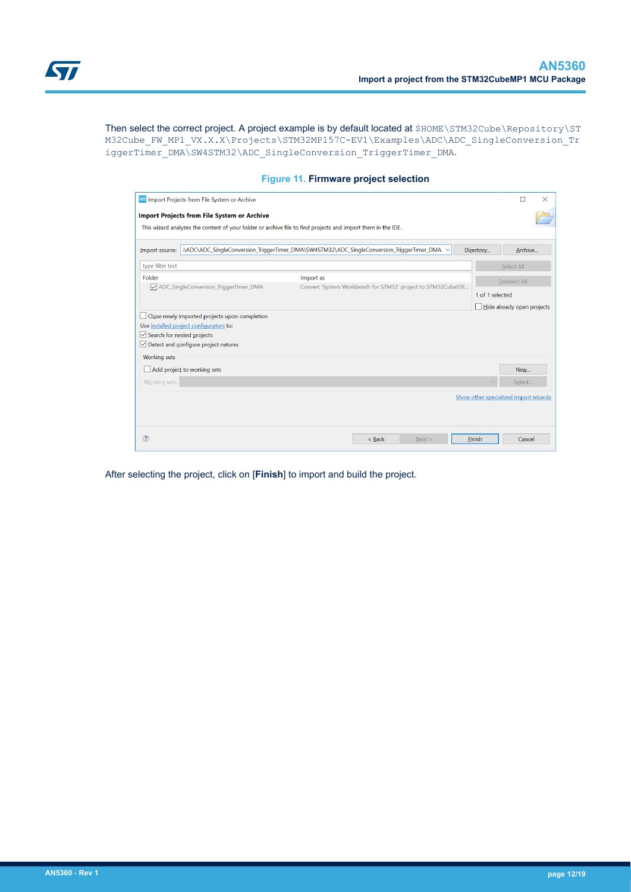<span id="page-11-0"></span>Then select the correct project. A project example is by default located at \$HOME\STM32Cube\Repository\ST M32Cube\_FW\_MP1\_VX.X.X\Projects\STM32MP157C-EV1\Examples\ADC\ADC\_SingleConversion\_Tr iggerTimer\_DMA\SW4STM32\ADC\_SingleConversion\_TriggerTimer\_DMA.

| <b>IDE</b> Import Projects from File System or Archive                                                            |           |          |                                                              |                                       |                            | $\times$ |
|-------------------------------------------------------------------------------------------------------------------|-----------|----------|--------------------------------------------------------------|---------------------------------------|----------------------------|----------|
| <b>Import Projects from File System or Archive</b>                                                                |           |          |                                                              |                                       |                            |          |
| This wizard analyzes the content of your folder or archive file to find projects and import them in the IDE.      |           |          |                                                              |                                       |                            |          |
| Import source: : \ADC\ADC SingleConversion TriggerTimer DMA\SW4STM32\ADC SingleConversion TriggerTimer DMA $\sim$ |           |          |                                                              | Directory                             | Archive                    |          |
| type filter text                                                                                                  |           |          |                                                              |                                       | Select All                 |          |
| Folder                                                                                                            | Import as |          |                                                              |                                       | Deselect All               |          |
| ADC_SingleConversion_TriggerTimer_DMA                                                                             |           |          | Convert 'System Workbench for STM32' project to STM32CubeIDE | 1 of 1 selected                       |                            |          |
|                                                                                                                   |           |          |                                                              |                                       | Hide already open projects |          |
| Close newly imported projects upon completion                                                                     |           |          |                                                              |                                       |                            |          |
| Use installed project configurators to:<br>$\vee$ Search for nested projects                                      |           |          |                                                              |                                       |                            |          |
| $\vee$ Detect and configure project natures                                                                       |           |          |                                                              |                                       |                            |          |
| <b>Working sets</b>                                                                                               |           |          |                                                              |                                       |                            |          |
| Add project to working sets                                                                                       |           |          |                                                              |                                       | New                        |          |
| Working sets:                                                                                                     |           |          |                                                              |                                       | Select                     |          |
|                                                                                                                   |           |          |                                                              | Show other specialized import wizards |                            |          |
|                                                                                                                   |           |          |                                                              |                                       |                            |          |
|                                                                                                                   |           |          |                                                              |                                       |                            |          |
| $\circledR$                                                                                                       |           | $<$ Back | Next >                                                       | Finish                                | Cancel                     |          |
|                                                                                                                   |           |          |                                                              |                                       |                            |          |

#### **Figure 11. Firmware project selection**

After selecting the project, click on [**Finish**] to import and build the project.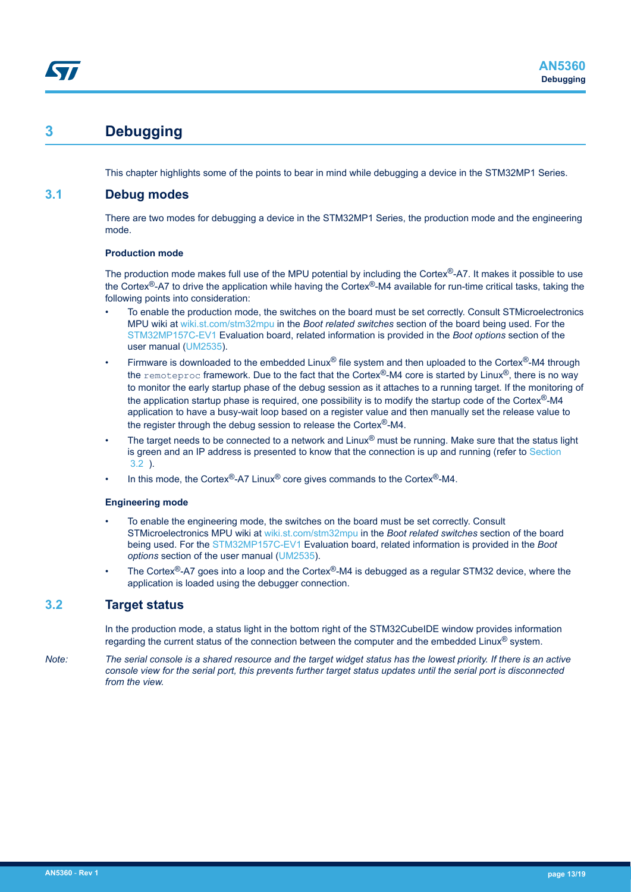## <span id="page-12-0"></span>**3 Debugging**

This chapter highlights some of the points to bear in mind while debugging a device in the STM32MP1 Series.

### **3.1 Debug modes**

There are two modes for debugging a device in the STM32MP1 Series, the production mode and the engineering mode.

#### **Production mode**

The production mode makes full use of the MPU potential by including the Cortex®-A7. It makes it possible to use the Cortex®-A7 to drive the application while having the Cortex®-M4 available for run-time critical tasks, taking the following points into consideration:

- To enable the production mode, the switches on the board must be set correctly. Consult STMicroelectronics MPU wiki at [wiki.st.com/stm32mpu](https://wiki.st.com/stm32mpu) in the *Boot related switches* section of the board being used. For the [STM32MP157C-EV1](https://www.st.com/en/product/stm32mp157c-ev1?ecmp=tt9470_gl_link_feb2019&rt=an&id=AN5360) Evaluation board, related information is provided in the *Boot options* section of the user manual [\(UM2535\)](https://www.st.com/resource/en/user_manual/dm00591370.pdf).
- Firmware is downloaded to the embedded Linux<sup>®</sup> file system and then uploaded to the Cortex<sup>®</sup>-M4 through the remoteproc framework. Due to the fact that the Cortex®-M4 core is started by Linux®, there is no way to monitor the early startup phase of the debug session as it attaches to a running target. If the monitoring of the application startup phase is required, one possibility is to modify the startup code of the Cortex®-M4 application to have a busy-wait loop based on a register value and then manually set the release value to the register through the debug session to release the Cortex<sup>®</sup>-M4.
- The target needs to be connected to a network and Linux<sup>®</sup> must be running. Make sure that the status light is green and an IP address is presented to know that the connection is up and running (refer to Section 3.2 ).
- In this mode, the Cortex®-A7 Linux<sup>®</sup> core gives commands to the Cortex<sup>®</sup>-M4.

#### **Engineering mode**

- To enable the engineering mode, the switches on the board must be set correctly. Consult STMicroelectronics MPU wiki at [wiki.st.com/stm32mpu](https://wiki.st.com/stm32mpu) in the *Boot related switches* section of the board being used. For the [STM32MP157C-EV1](https://www.st.com/en/product/stm32mp157c-ev1?ecmp=tt9470_gl_link_feb2019&rt=an&id=AN5360) Evaluation board, related information is provided in the *Boot options* section of the user manual [\(UM2535](https://www.st.com/resource/en/user_manual/dm00591370.pdf)).
- The Cortex®-A7 goes into a loop and the Cortex®-M4 is debugged as a regular STM32 device, where the application is loaded using the debugger connection.

### **3.2 Target status**

In the production mode, a status light in the bottom right of the STM32CubeIDE window provides information regarding the current status of the connection between the computer and the embedded Linux® system.

*Note: The serial console is a shared resource and the target widget status has the lowest priority. If there is an active console view for the serial port, this prevents further target status updates until the serial port is disconnected from the view.*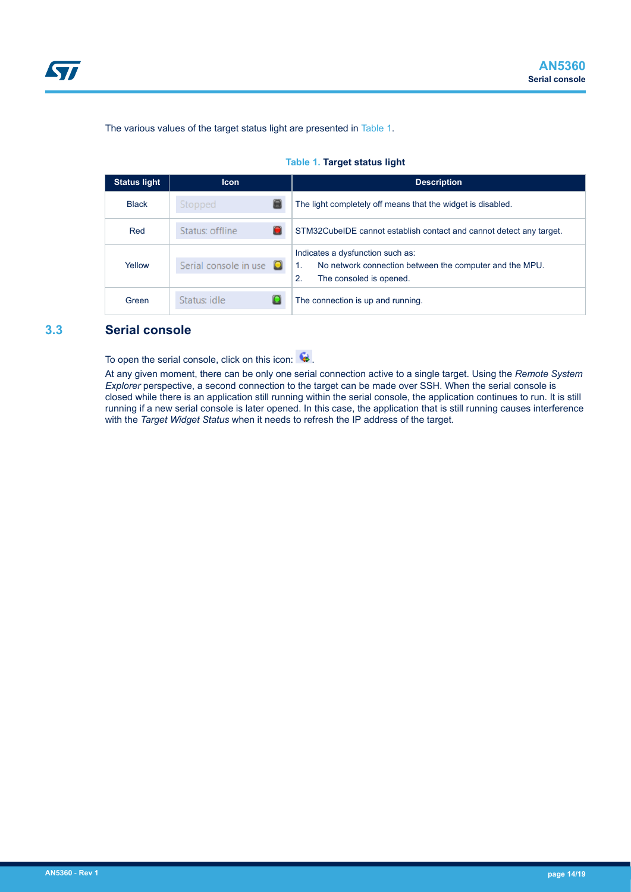<span id="page-13-0"></span>

The various values of the target status light are presented in Table 1.

|  |  |  | Table 1. Target status light |  |
|--|--|--|------------------------------|--|
|--|--|--|------------------------------|--|

| <b>Status light</b> | <b>Icon</b>                  | <b>Description</b>                                                                                                           |
|---------------------|------------------------------|------------------------------------------------------------------------------------------------------------------------------|
| <b>Black</b>        | Stopped                      | The light completely off means that the widget is disabled.                                                                  |
| Red                 | Status: offline              | STM32CubeIDE cannot establish contact and cannot detect any target.                                                          |
| Yellow              | Serial console in use $\Box$ | Indicates a dysfunction such as:<br>No network connection between the computer and the MPU.<br>2.<br>The consoled is opened. |
| Green               | Status: idle                 | The connection is up and running.                                                                                            |

### **3.3 Serial console**

To open the serial console, click on this icon:  $\bullet$ .

At any given moment, there can be only one serial connection active to a single target. Using the *Remote System Explorer* perspective, a second connection to the target can be made over SSH. When the serial console is closed while there is an application still running within the serial console, the application continues to run. It is still running if a new serial console is later opened. In this case, the application that is still running causes interference with the *Target Widget Status* when it needs to refresh the IP address of the target.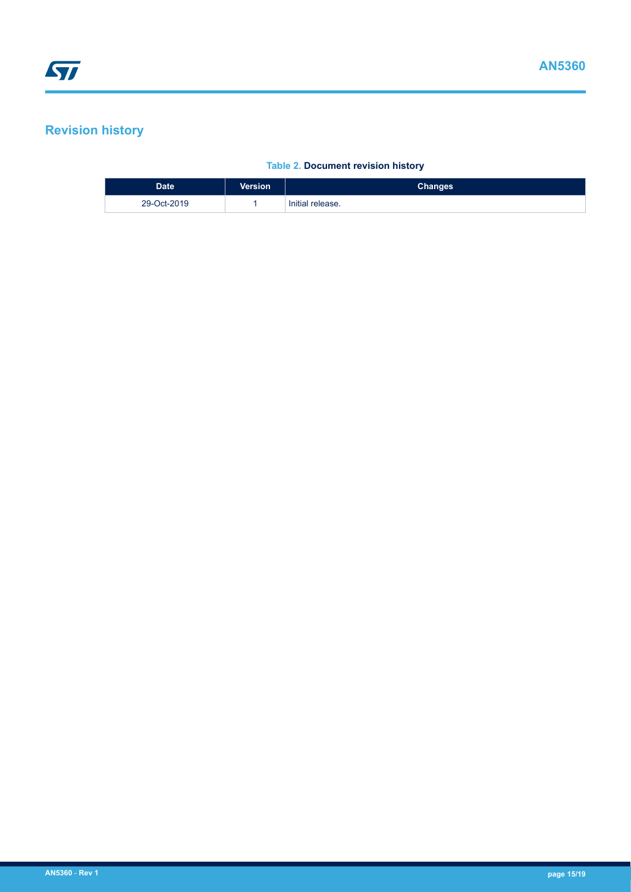## <span id="page-14-0"></span>**Revision history**

### **Table 2. Document revision history**

| <b>Date</b> | <b>Version</b> | <b>Changes</b>   |
|-------------|----------------|------------------|
| 29-Oct-2019 |                | Initial release. |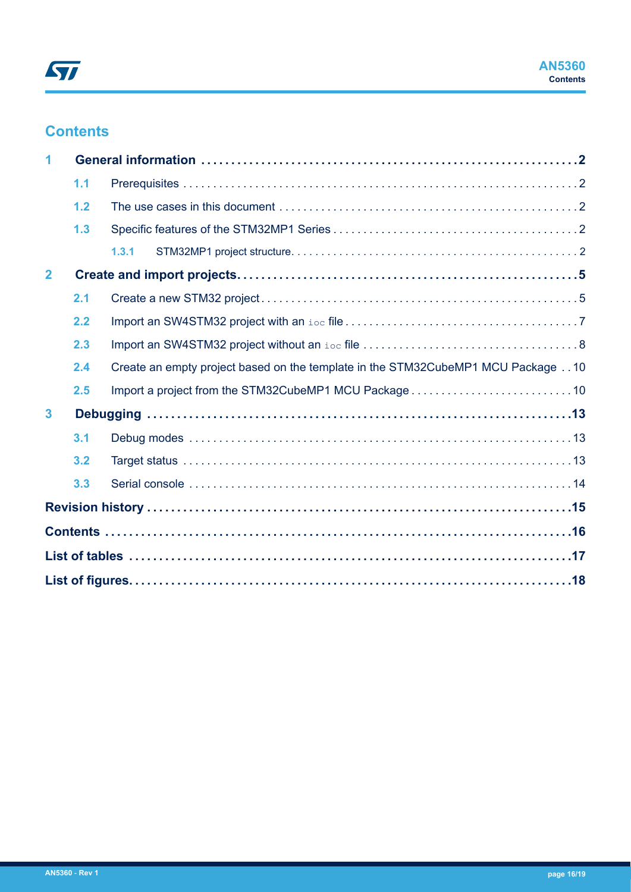## **Contents**

|                | 1.1 |                                                                                  |  |  |  |  |
|----------------|-----|----------------------------------------------------------------------------------|--|--|--|--|
|                | 1.2 |                                                                                  |  |  |  |  |
|                | 1.3 |                                                                                  |  |  |  |  |
|                |     | 1,3.1                                                                            |  |  |  |  |
| $\overline{2}$ |     |                                                                                  |  |  |  |  |
|                | 2.1 |                                                                                  |  |  |  |  |
|                | 2.2 |                                                                                  |  |  |  |  |
|                | 2.3 |                                                                                  |  |  |  |  |
|                | 2.4 | Create an empty project based on the template in the STM32CubeMP1 MCU Package 10 |  |  |  |  |
|                | 2.5 |                                                                                  |  |  |  |  |
| $\mathbf{3}$   |     |                                                                                  |  |  |  |  |
|                | 3.1 |                                                                                  |  |  |  |  |
|                | 3.2 |                                                                                  |  |  |  |  |
|                | 3.3 |                                                                                  |  |  |  |  |
|                |     |                                                                                  |  |  |  |  |
|                |     |                                                                                  |  |  |  |  |
|                |     |                                                                                  |  |  |  |  |
|                |     |                                                                                  |  |  |  |  |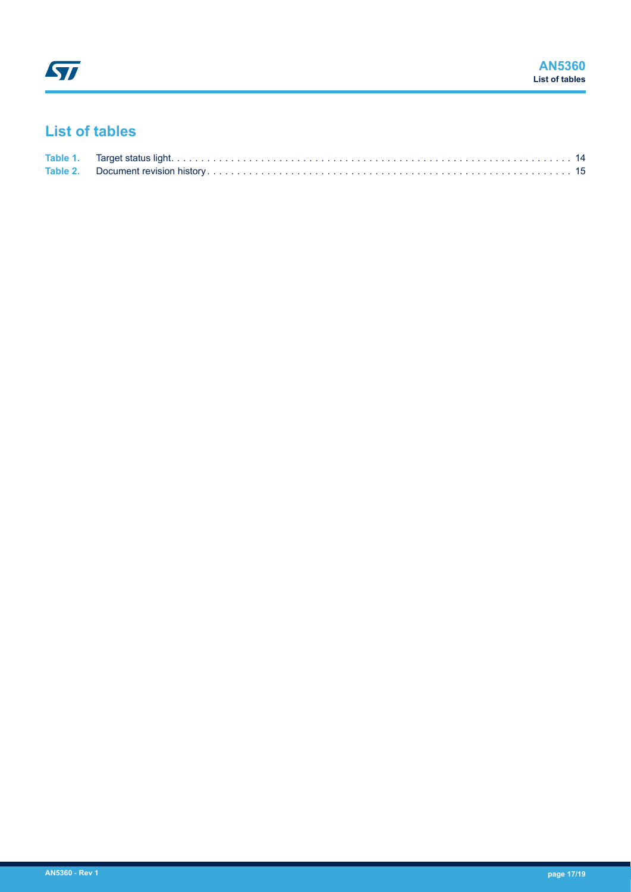## <span id="page-16-0"></span>**List of tables**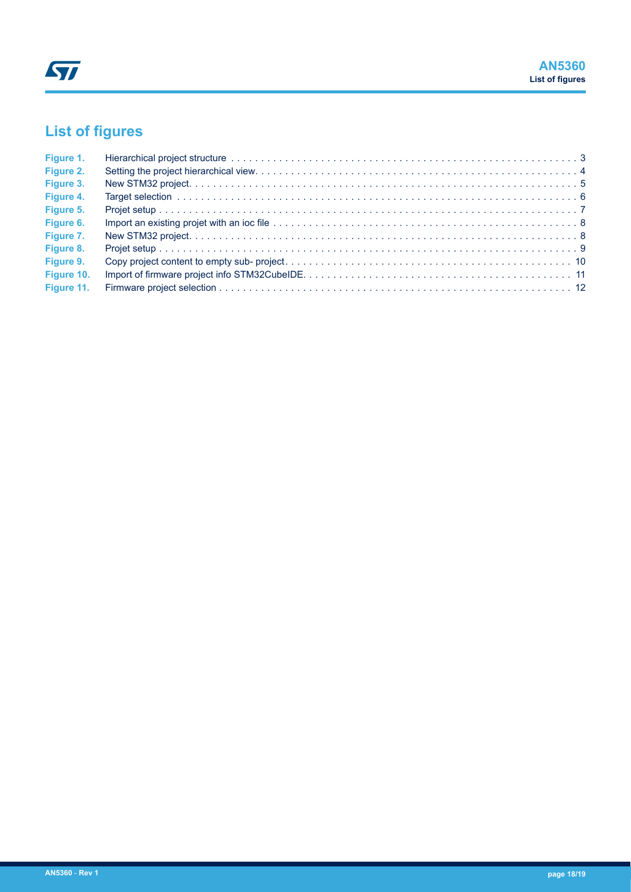# <span id="page-17-0"></span>**List of figures**

| Figure 1.  | Hierarchical project structure with the contract of the contract of the contract of the contract of the contract of the contract of the contract of the contract of the contract of the contract of the contract of the contra |  |
|------------|--------------------------------------------------------------------------------------------------------------------------------------------------------------------------------------------------------------------------------|--|
| Figure 2.  |                                                                                                                                                                                                                                |  |
| Figure 3.  |                                                                                                                                                                                                                                |  |
| Figure 4.  |                                                                                                                                                                                                                                |  |
| Figure 5.  |                                                                                                                                                                                                                                |  |
| Figure 6.  |                                                                                                                                                                                                                                |  |
| Figure 7.  |                                                                                                                                                                                                                                |  |
| Figure 8.  |                                                                                                                                                                                                                                |  |
| Figure 9.  |                                                                                                                                                                                                                                |  |
| Figure 10. |                                                                                                                                                                                                                                |  |
|            |                                                                                                                                                                                                                                |  |